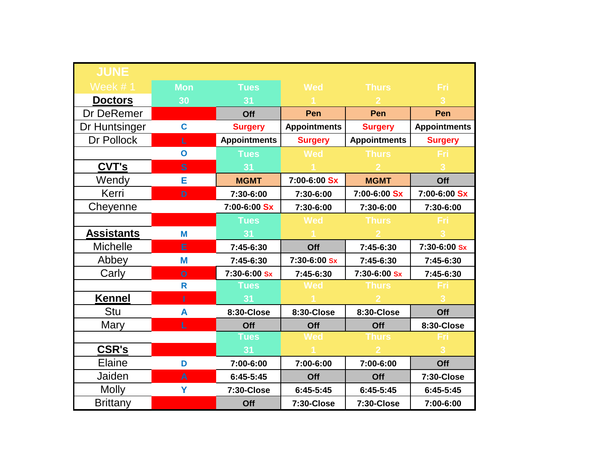| <b>JUNE</b>       |                |                     |                     |                     |                     |
|-------------------|----------------|---------------------|---------------------|---------------------|---------------------|
| Week #1           | <b>Mon</b>     | <b>Tues</b>         | <b>Wed</b>          | <b>Thurs</b>        | <b>Fri</b>          |
| <b>Doctors</b>    | 30             | 31                  |                     |                     | 3                   |
| Dr DeRemer        |                | Off                 | Pen                 | Pen                 | Pen                 |
| Dr Huntsinger     | $\mathbf c$    | <b>Surgery</b>      | <b>Appointments</b> | <b>Surgery</b>      | <b>Appointments</b> |
| Dr Pollock        | L.             | <b>Appointments</b> | <b>Surgery</b>      | <b>Appointments</b> | <b>Surgery</b>      |
|                   | $\mathbf{o}$   | <b>Tues</b>         | <b>Wed</b>          | <b>Thurs</b>        | <b>Fri</b>          |
| <b>CVT's</b>      | S              | 31                  |                     |                     |                     |
| Wendy             | E              | <b>MGMT</b>         | 7:00-6:00 Sx        | <b>MGMT</b>         | Off                 |
| Kerri             | D              | 7:30-6:00           | 7:30-6:00           | 7:00-6:00 Sx        | 7:00-6:00 Sx        |
| Cheyenne          |                | 7:00-6:00 Sx        | 7:30-6:00           | 7:30-6:00           | 7:30-6:00           |
|                   |                | <b>Tues</b>         | <b>Wed</b>          | <b>Thurs</b>        | Fri                 |
| <b>Assistants</b> | M              | 31                  |                     |                     |                     |
| <b>Michelle</b>   | E              | 7:45-6:30           | Off                 | 7:45-6:30           | 7:30-6:00 Sx        |
| Abbey             | M              | 7:45-6:30           | 7:30-6:00 Sx        | 7:45-6:30           | 7:45-6:30           |
| Carly             | $\overline{O}$ | 7:30-6:00 Sx        | 7:45-6:30           | 7:30-6:00 Sx        | 7:45-6:30           |
|                   | R              | <b>Tues</b>         | <b>Wed</b>          | <b>Thurs</b>        | Fri                 |
| <b>Kennel</b>     | ī              | 31                  |                     |                     |                     |
| Stu               | A              | 8:30-Close          | 8:30-Close          | 8:30-Close          | Off                 |
| Mary              | L              | Off                 | Off                 | Off                 | 8:30-Close          |
|                   |                | <b>Tues</b>         | <b>Wed</b>          | <b>Thurs</b>        | Fri                 |
| <b>CSR's</b>      |                | 31                  |                     |                     |                     |
| Elaine            | D              | 7:00-6:00           | 7:00-6:00           | 7:00-6:00           | Off                 |
| Jaiden            | A              | $6:45-5:45$         | Off                 | Off                 | 7:30-Close          |
| <b>Molly</b>      | Y              | 7:30-Close          | 6:45-5:45           | $6:45-5:45$         | 6:45-5:45           |
| <b>Brittany</b>   |                | Off                 | 7:30-Close          | 7:30-Close          | 7:00-6:00           |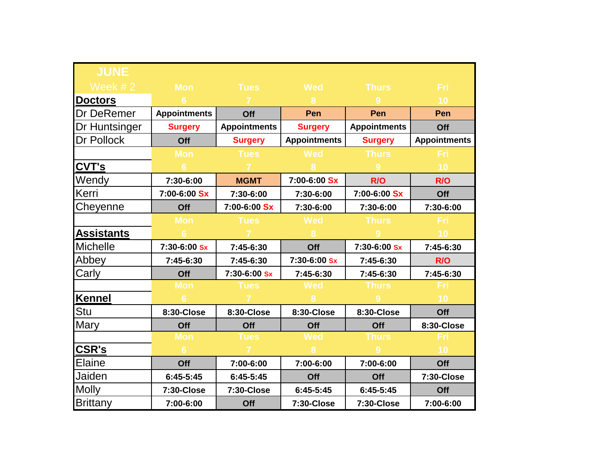| <b>JUNE</b>          |                     |                     |                     |                     |                     |
|----------------------|---------------------|---------------------|---------------------|---------------------|---------------------|
| Week $# 2$           | <b>Mon</b>          | <b>Tues</b>         | <b>Wed</b>          | <b>Thurs</b>        | Fri                 |
| <b>Doctors</b>       | 6                   |                     | 8                   | 9                   | 10                  |
| <b>Dr DeRemer</b>    | <b>Appointments</b> | Off                 | Pen                 | Pen                 | Pen                 |
| <b>Dr Huntsinger</b> | <b>Surgery</b>      | <b>Appointments</b> | <b>Surgery</b>      | <b>Appointments</b> | Off                 |
| <b>Dr Pollock</b>    | Off                 | <b>Surgery</b>      | <b>Appointments</b> | <b>Surgery</b>      | <b>Appointments</b> |
|                      | <b>Mon</b>          | <b>Tues</b>         | <b>Wed</b>          | <b>Thurs</b>        | <u>Fri</u>          |
| <b>CVT's</b>         | $6\phantom{1}6$     |                     |                     | 9                   | 10                  |
| Wendy                | 7:30-6:00           | <b>MGMT</b>         | 7:00-6:00 Sx        | R/O                 | R/O                 |
| Kerri                | 7:00-6:00 Sx        | 7:30-6:00           | 7:30-6:00           | 7:00-6:00 Sx        | Off                 |
| Cheyenne             | Off                 | 7:00-6:00 Sx        | 7:30-6:00           | 7:30-6:00           | 7:30-6:00           |
|                      | <b>Mon</b>          | <b>Tues</b>         | <b>Wed</b>          | <b>Thurs</b>        | <b>Fri</b>          |
| <b>Assistants</b>    |                     |                     |                     |                     | 10                  |
| Michelle             | 7:30-6:00 Sx        | 7:45-6:30           | Off                 | 7:30-6:00 Sx        | 7:45-6:30           |
| Abbey                | 7:45-6:30           | 7:45-6:30           | 7:30-6:00 Sx        | 7:45-6:30           | R/O                 |
| Carly                | Off                 | 7:30-6:00 Sx        | 7:45-6:30           | 7:45-6:30           | 7:45-6:30           |
|                      | <b>Mon</b>          | <b>Tues</b>         | <b>Wed</b>          | Thurs               | Fri                 |
| <b>Kennel</b>        | $6\phantom{a}6$     |                     |                     |                     | 10                  |
| Stu                  | 8:30-Close          | 8:30-Close          | 8:30-Close          | 8:30-Close          | Off                 |
| <b>Mary</b>          | Off                 | Off                 | Off                 | Off                 | 8:30-Close          |
|                      | <b>Mon</b>          | <b>Tues</b>         | <b>Wed</b>          | <b>Thurs</b>        | Fri                 |
| <b>CSR's</b>         | 6                   |                     |                     | 9                   | 10                  |
| Elaine               | Off                 | 7:00-6:00           | 7:00-6:00           | 7:00-6:00           | Off                 |
| Jaiden               | 6:45-5:45           | $6:45-5:45$         | Off                 | Off                 | 7:30-Close          |
| <b>Molly</b>         | 7:30-Close          | 7:30-Close          | $6:45-5:45$         | $6:45-5:45$         | Off                 |
| <b>Brittany</b>      | 7:00-6:00           | Off                 | 7:30-Close          | 7:30-Close          | 7:00-6:00           |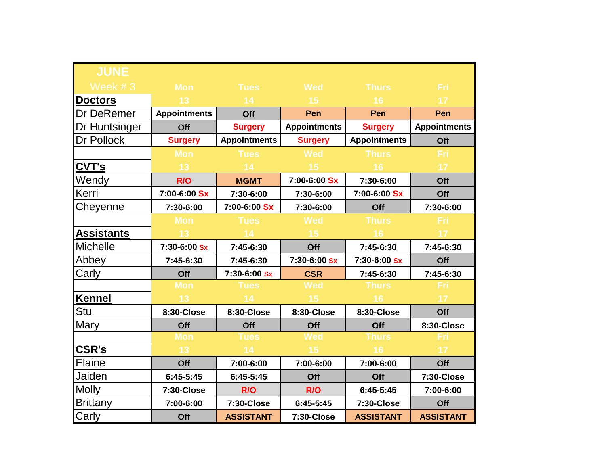| <b>JUNE</b>          |                     |                     |                     |                     |                     |
|----------------------|---------------------|---------------------|---------------------|---------------------|---------------------|
| Week $#3$            | <b>Mon</b>          | <b>Tues</b>         | <b>Wed</b>          | <b>Thurs</b>        | <b>Fri</b>          |
| <b>Doctors</b>       | 13 <sup>°</sup>     | 14                  | 15                  | 16                  | 17                  |
| <b>Dr DeRemer</b>    | <b>Appointments</b> | Off                 | Pen                 | Pen                 | Pen                 |
| <b>Dr Huntsinger</b> | Off                 | <b>Surgery</b>      | <b>Appointments</b> | <b>Surgery</b>      | <b>Appointments</b> |
| <b>Dr Pollock</b>    | <b>Surgery</b>      | <b>Appointments</b> | <b>Surgery</b>      | <b>Appointments</b> | Off                 |
|                      | <b>Mon</b>          | <b>Tues</b>         | <b>Wed</b>          | <b>Thurs</b>        | Fri                 |
| <b>CVT's</b>         | 13                  | 14                  | 15                  | 16                  | 17                  |
| Wendy                | R/O                 | <b>MGMT</b>         | 7:00-6:00 Sx        | 7:30-6:00           | Off                 |
| Kerri                | 7:00-6:00 Sx        | 7:30-6:00           | 7:30-6:00           | 7:00-6:00 Sx        | Off                 |
| Cheyenne             | 7:30-6:00           | 7:00-6:00 Sx        | 7:30-6:00           | Off                 | 7:30-6:00           |
|                      | <b>Mon</b>          | <b>Tues</b>         | <b>Wed</b>          | <b>Thurs</b>        | <b>Fri</b>          |
| <b>Assistants</b>    | 13 <sup>°</sup>     | 14                  | 15                  | 16                  | 17 <sup>°</sup>     |
| <b>Michelle</b>      | 7:30-6:00 Sx        | 7:45-6:30           | Off                 | 7:45-6:30           | 7:45-6:30           |
| Abbey                | 7:45-6:30           | 7:45-6:30           | 7:30-6:00 Sx        | 7:30-6:00 Sx        | Off                 |
| Carly                | Off                 | 7:30-6:00 Sx        | <b>CSR</b>          | 7:45-6:30           | 7:45-6:30           |
|                      | <b>Mon</b>          | <b>Tues</b>         | <b>Wed</b>          | <b>Thurs</b>        | Fri                 |
| <b>Kennel</b>        | 13                  | 14                  | 15                  | 16                  | 17                  |
| Stu                  | 8:30-Close          | 8:30-Close          | 8:30-Close          | 8:30-Close          | Off                 |
| <b>Mary</b>          | Off                 | Off                 | Off                 | Off                 | 8:30-Close          |
|                      | <b>Mon</b>          | <b>Tues</b>         | <b>Wed</b>          | <b>Thurs</b>        | Fri                 |
| <b>CSR's</b>         | 13 <sup>°</sup>     | 14 <sup>°</sup>     | 15                  | 16                  | 17                  |
| Elaine               | Off                 | 7:00-6:00           | 7:00-6:00           | 7:00-6:00           | Off                 |
| Jaiden               | 6:45-5:45           | $6:45-5:45$         | Off                 | Off                 | 7:30-Close          |
| <b>Molly</b>         | 7:30-Close          | R/O                 | R/O                 | 6:45-5:45           | 7:00-6:00           |
| <b>Brittany</b>      | 7:00-6:00           | 7:30-Close          | $6:45-5:45$         | 7:30-Close          | Off                 |
| Carly                | Off                 | <b>ASSISTANT</b>    | 7:30-Close          | <b>ASSISTANT</b>    | <b>ASSISTANT</b>    |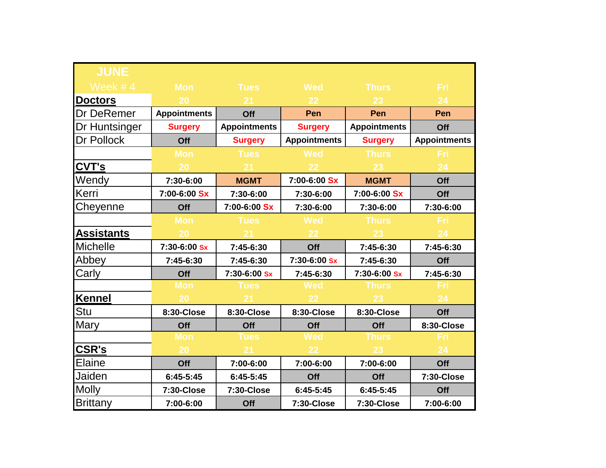| <b>JUNE</b>          |                     |                     |                     |                     |                     |
|----------------------|---------------------|---------------------|---------------------|---------------------|---------------------|
| Week $# 4$           | <b>Mon</b>          | <b>Tues</b>         | <b>Wed</b>          | <b>Thurs</b>        | Fri                 |
| <b>Doctors</b>       | 20                  | 21                  | 22                  | 23                  | 24                  |
| <b>Dr DeRemer</b>    | <b>Appointments</b> | Off                 | Pen                 | Pen                 | Pen                 |
| <b>Dr Huntsinger</b> | <b>Surgery</b>      | <b>Appointments</b> | <b>Surgery</b>      | <b>Appointments</b> | Off                 |
| <b>Dr Pollock</b>    | Off                 | <b>Surgery</b>      | <b>Appointments</b> | <b>Surgery</b>      | <b>Appointments</b> |
|                      | <b>Mon</b>          | <b>Tues</b>         | <b>Wed</b>          | <b>Thurs</b>        | <b>Fri</b>          |
| <b>CVT's</b>         | 20                  | 21                  | 22                  | 23                  | 24                  |
| Wendy                | 7:30-6:00           | <b>MGMT</b>         | 7:00-6:00 Sx        | <b>MGMT</b>         | Off                 |
| Kerri                | 7:00-6:00 Sx        | 7:30-6:00           | 7:30-6:00           | 7:00-6:00 Sx        | Off                 |
| Cheyenne             | Off                 | 7:00-6:00 Sx        | 7:30-6:00           | 7:30-6:00           | 7:30-6:00           |
|                      | <b>Mon</b>          | <b>Tues</b>         | <b>Wed</b>          | <b>Thurs</b>        | <b>Fri</b>          |
| <b>Assistants</b>    | 20                  |                     | 22                  | 23                  | 24                  |
| Michelle             | 7:30-6:00 Sx        | 7:45-6:30           | Off                 | 7:45-6:30           | 7:45-6:30           |
| Abbey                | 7:45-6:30           | 7:45-6:30           | 7:30-6:00 Sx        | 7:45-6:30           | Off                 |
| Carly                | Off                 | 7:30-6:00 Sx        | 7:45-6:30           | 7:30-6:00 Sx        | 7:45-6:30           |
|                      | <b>Mon</b>          | <b>Tues</b>         | <b>Wed</b>          | Thurs               | Fri                 |
| <b>Kennel</b>        | 20                  | 21                  | 22                  | 23                  | 24                  |
| Stu                  | 8:30-Close          | 8:30-Close          | 8:30-Close          | 8:30-Close          | Off                 |
| <b>Mary</b>          | Off                 | Off                 | Off                 | Off                 | 8:30-Close          |
|                      | <b>Mon</b>          | <b>Tues</b>         | <b>Wed</b>          | <b>Thurs</b>        | Fri                 |
| <b>CSR's</b>         | 20                  | 21                  | 22                  | 23                  | 24                  |
| Elaine               | Off                 | 7:00-6:00           | 7:00-6:00           | 7:00-6:00           | Off                 |
| Jaiden               | 6:45-5:45           | 6:45-5:45           | Off                 | Off                 | 7:30-Close          |
| <b>Molly</b>         | 7:30-Close          | 7:30-Close          | $6:45-5:45$         | $6:45-5:45$         | Off                 |
| Brittany             | 7:00-6:00           | Off                 | 7:30-Close          | 7:30-Close          | 7:00-6:00           |